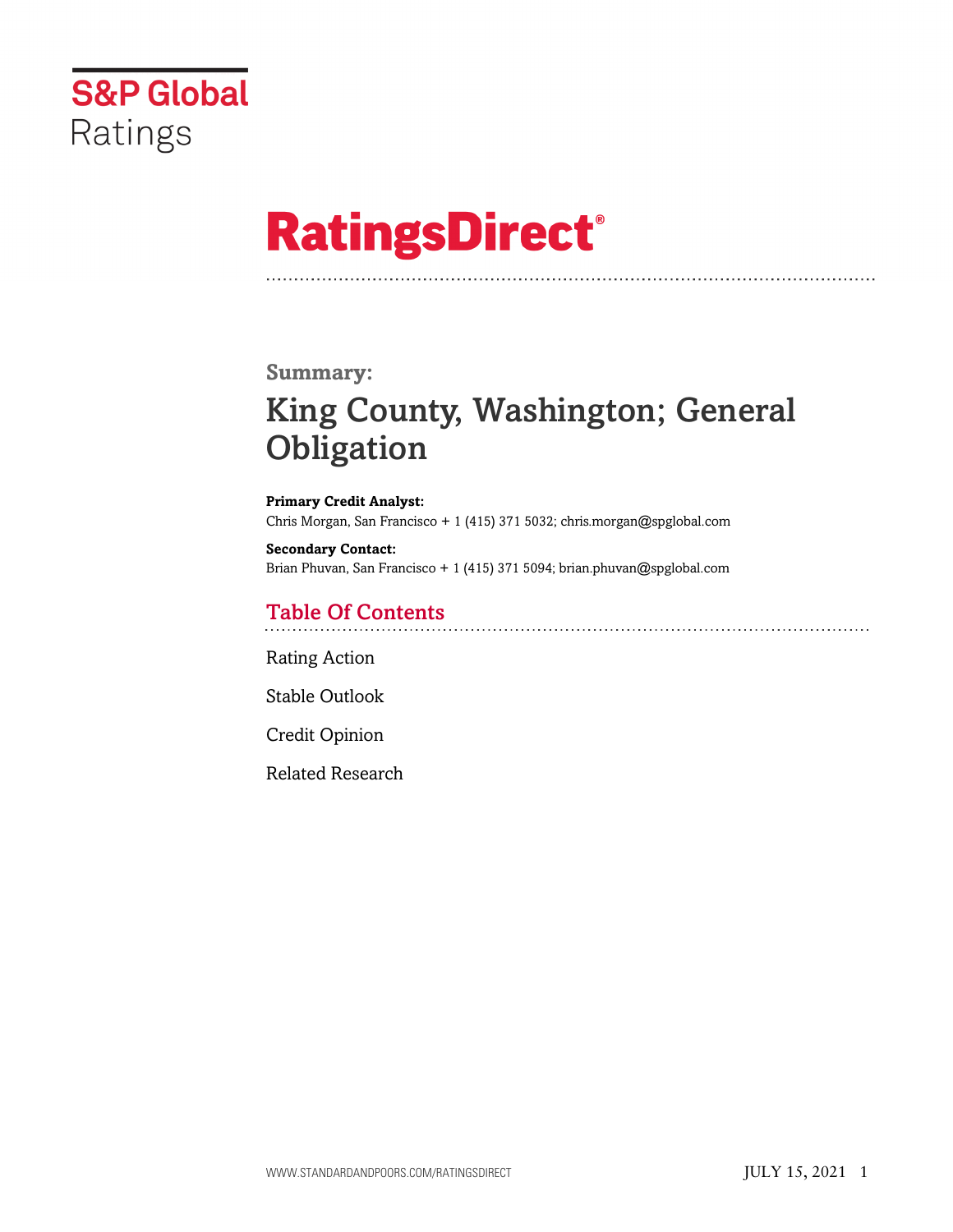

# **RatingsDirect®**

#### **Summary:**

# King County, Washington; General **Obligation**

**Primary Credit Analyst:** Chris Morgan, San Francisco + 1 (415) 371 5032; chris.morgan@spglobal.com

**Secondary Contact:** Brian Phuvan, San Francisco + 1 (415) 371 5094; brian.phuvan@spglobal.com

### Table Of Contents

[Rating Action](#page-1-0)

[Stable Outlook](#page-2-0)

[Credit Opinion](#page-2-1)

[Related Research](#page-6-0)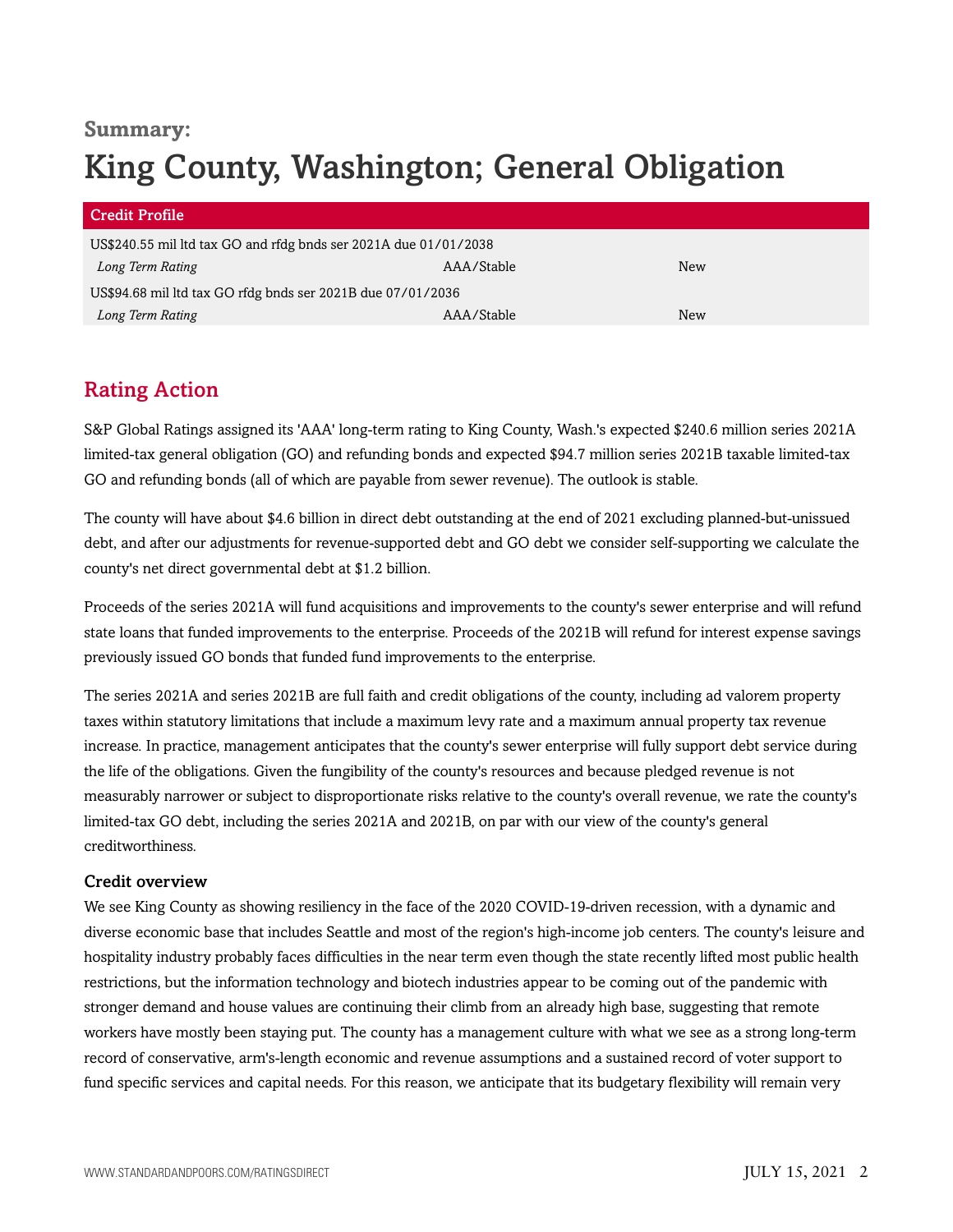# **Summary:** King County, Washington; General Obligation

| <b>Credit Profile</b>                                            |            |     |
|------------------------------------------------------------------|------------|-----|
| US\$240.55 mil ltd tax GO and rfdg bnds ser 2021A due 01/01/2038 |            |     |
| Long Term Rating                                                 | AAA/Stable | New |
| US\$94.68 mil ltd tax GO rfdg bnds ser 2021B due 07/01/2036      |            |     |
| Long Term Rating                                                 | AAA/Stable | New |

# <span id="page-1-0"></span>Rating Action

S&P Global Ratings assigned its 'AAA' long-term rating to King County, Wash.'s expected \$240.6 million series 2021A limited-tax general obligation (GO) and refunding bonds and expected \$94.7 million series 2021B taxable limited-tax GO and refunding bonds (all of which are payable from sewer revenue). The outlook is stable.

The county will have about \$4.6 billion in direct debt outstanding at the end of 2021 excluding planned-but-unissued debt, and after our adjustments for revenue-supported debt and GO debt we consider self-supporting we calculate the county's net direct governmental debt at \$1.2 billion.

Proceeds of the series 2021A will fund acquisitions and improvements to the county's sewer enterprise and will refund state loans that funded improvements to the enterprise. Proceeds of the 2021B will refund for interest expense savings previously issued GO bonds that funded fund improvements to the enterprise.

The series 2021A and series 2021B are full faith and credit obligations of the county, including ad valorem property taxes within statutory limitations that include a maximum levy rate and a maximum annual property tax revenue increase. In practice, management anticipates that the county's sewer enterprise will fully support debt service during the life of the obligations. Given the fungibility of the county's resources and because pledged revenue is not measurably narrower or subject to disproportionate risks relative to the county's overall revenue, we rate the county's limited-tax GO debt, including the series 2021A and 2021B, on par with our view of the county's general creditworthiness.

#### Credit overview

We see King County as showing resiliency in the face of the 2020 COVID-19-driven recession, with a dynamic and diverse economic base that includes Seattle and most of the region's high-income job centers. The county's leisure and hospitality industry probably faces difficulties in the near term even though the state recently lifted most public health restrictions, but the information technology and biotech industries appear to be coming out of the pandemic with stronger demand and house values are continuing their climb from an already high base, suggesting that remote workers have mostly been staying put. The county has a management culture with what we see as a strong long-term record of conservative, arm's-length economic and revenue assumptions and a sustained record of voter support to fund specific services and capital needs. For this reason, we anticipate that its budgetary flexibility will remain very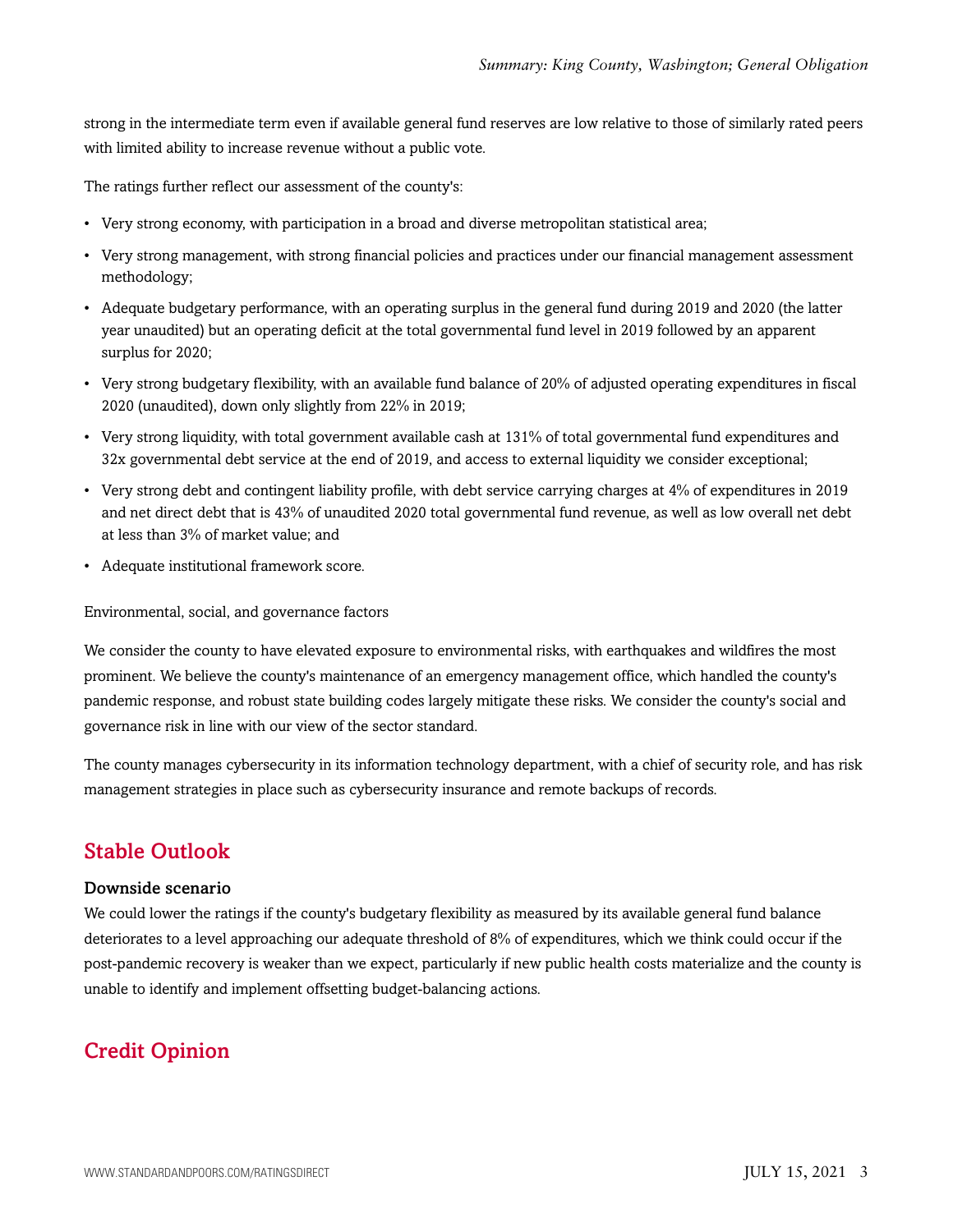strong in the intermediate term even if available general fund reserves are low relative to those of similarly rated peers with limited ability to increase revenue without a public vote.

The ratings further reflect our assessment of the county's:

- Very strong economy, with participation in a broad and diverse metropolitan statistical area;
- Very strong management, with strong financial policies and practices under our financial management assessment methodology;
- Adequate budgetary performance, with an operating surplus in the general fund during 2019 and 2020 (the latter year unaudited) but an operating deficit at the total governmental fund level in 2019 followed by an apparent surplus for 2020;
- Very strong budgetary flexibility, with an available fund balance of 20% of adjusted operating expenditures in fiscal 2020 (unaudited), down only slightly from 22% in 2019;
- Very strong liquidity, with total government available cash at 131% of total governmental fund expenditures and 32x governmental debt service at the end of 2019, and access to external liquidity we consider exceptional;
- Very strong debt and contingent liability profile, with debt service carrying charges at 4% of expenditures in 2019 and net direct debt that is 43% of unaudited 2020 total governmental fund revenue, as well as low overall net debt at less than 3% of market value; and
- Adequate institutional framework score.

Environmental, social, and governance factors

We consider the county to have elevated exposure to environmental risks, with earthquakes and wildfires the most prominent. We believe the county's maintenance of an emergency management office, which handled the county's pandemic response, and robust state building codes largely mitigate these risks. We consider the county's social and governance risk in line with our view of the sector standard.

The county manages cybersecurity in its information technology department, with a chief of security role, and has risk management strategies in place such as cybersecurity insurance and remote backups of records.

### <span id="page-2-0"></span>Stable Outlook

#### Downside scenario

We could lower the ratings if the county's budgetary flexibility as measured by its available general fund balance deteriorates to a level approaching our adequate threshold of 8% of expenditures, which we think could occur if the post-pandemic recovery is weaker than we expect, particularly if new public health costs materialize and the county is unable to identify and implement offsetting budget-balancing actions.

# <span id="page-2-1"></span>Credit Opinion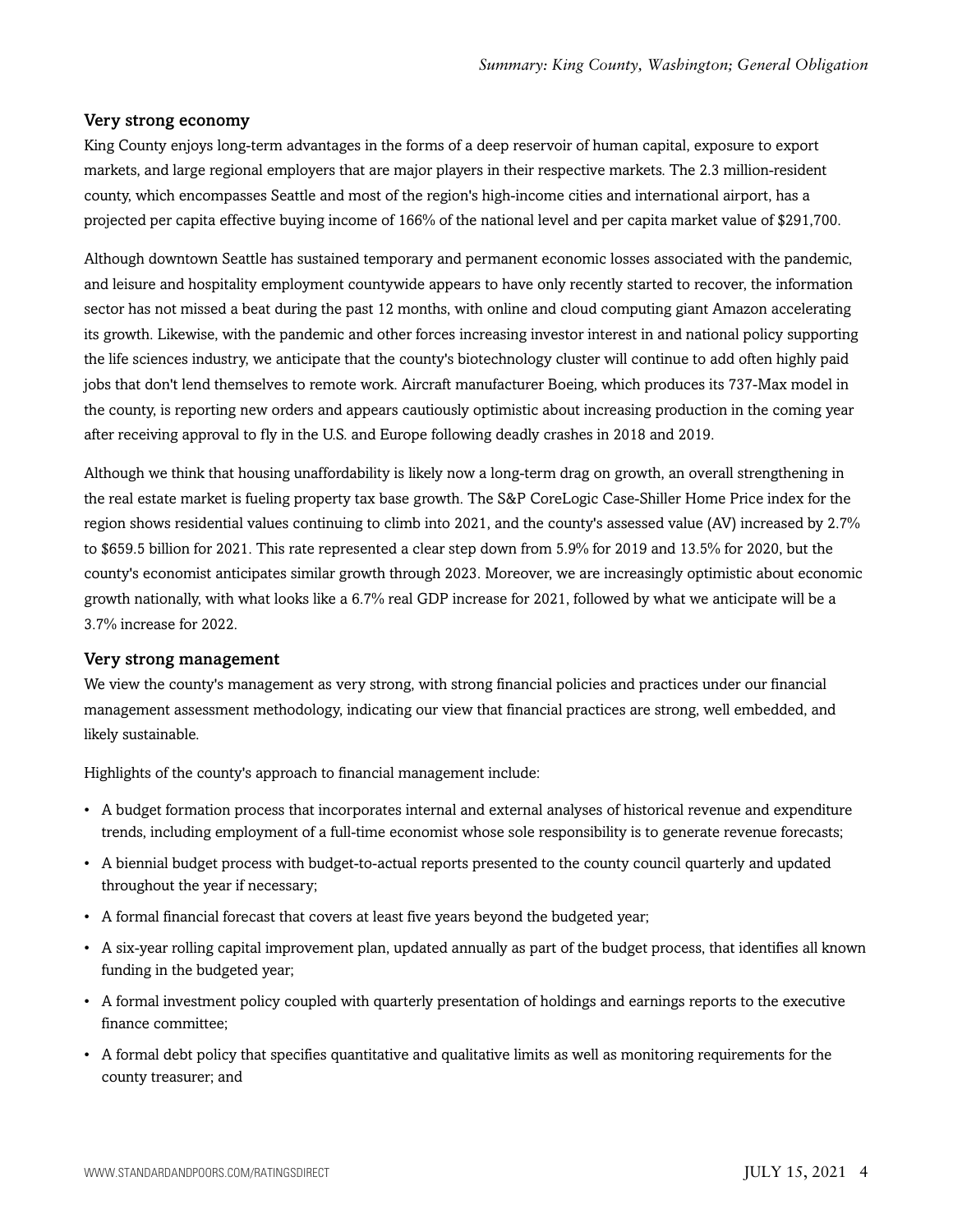#### Very strong economy

King County enjoys long-term advantages in the forms of a deep reservoir of human capital, exposure to export markets, and large regional employers that are major players in their respective markets. The 2.3 million-resident county, which encompasses Seattle and most of the region's high-income cities and international airport, has a projected per capita effective buying income of 166% of the national level and per capita market value of \$291,700.

Although downtown Seattle has sustained temporary and permanent economic losses associated with the pandemic, and leisure and hospitality employment countywide appears to have only recently started to recover, the information sector has not missed a beat during the past 12 months, with online and cloud computing giant Amazon accelerating its growth. Likewise, with the pandemic and other forces increasing investor interest in and national policy supporting the life sciences industry, we anticipate that the county's biotechnology cluster will continue to add often highly paid jobs that don't lend themselves to remote work. Aircraft manufacturer Boeing, which produces its 737-Max model in the county, is reporting new orders and appears cautiously optimistic about increasing production in the coming year after receiving approval to fly in the U.S. and Europe following deadly crashes in 2018 and 2019.

Although we think that housing unaffordability is likely now a long-term drag on growth, an overall strengthening in the real estate market is fueling property tax base growth. The S&P CoreLogic Case-Shiller Home Price index for the region shows residential values continuing to climb into 2021, and the county's assessed value (AV) increased by 2.7% to \$659.5 billion for 2021. This rate represented a clear step down from 5.9% for 2019 and 13.5% for 2020, but the county's economist anticipates similar growth through 2023. Moreover, we are increasingly optimistic about economic growth nationally, with what looks like a 6.7% real GDP increase for 2021, followed by what we anticipate will be a 3.7% increase for 2022.

#### Very strong management

We view the county's management as very strong, with strong financial policies and practices under our financial management assessment methodology, indicating our view that financial practices are strong, well embedded, and likely sustainable.

Highlights of the county's approach to financial management include:

- A budget formation process that incorporates internal and external analyses of historical revenue and expenditure trends, including employment of a full-time economist whose sole responsibility is to generate revenue forecasts;
- A biennial budget process with budget-to-actual reports presented to the county council quarterly and updated throughout the year if necessary;
- A formal financial forecast that covers at least five years beyond the budgeted year;
- A six-year rolling capital improvement plan, updated annually as part of the budget process, that identifies all known funding in the budgeted year;
- A formal investment policy coupled with quarterly presentation of holdings and earnings reports to the executive finance committee;
- A formal debt policy that specifies quantitative and qualitative limits as well as monitoring requirements for the county treasurer; and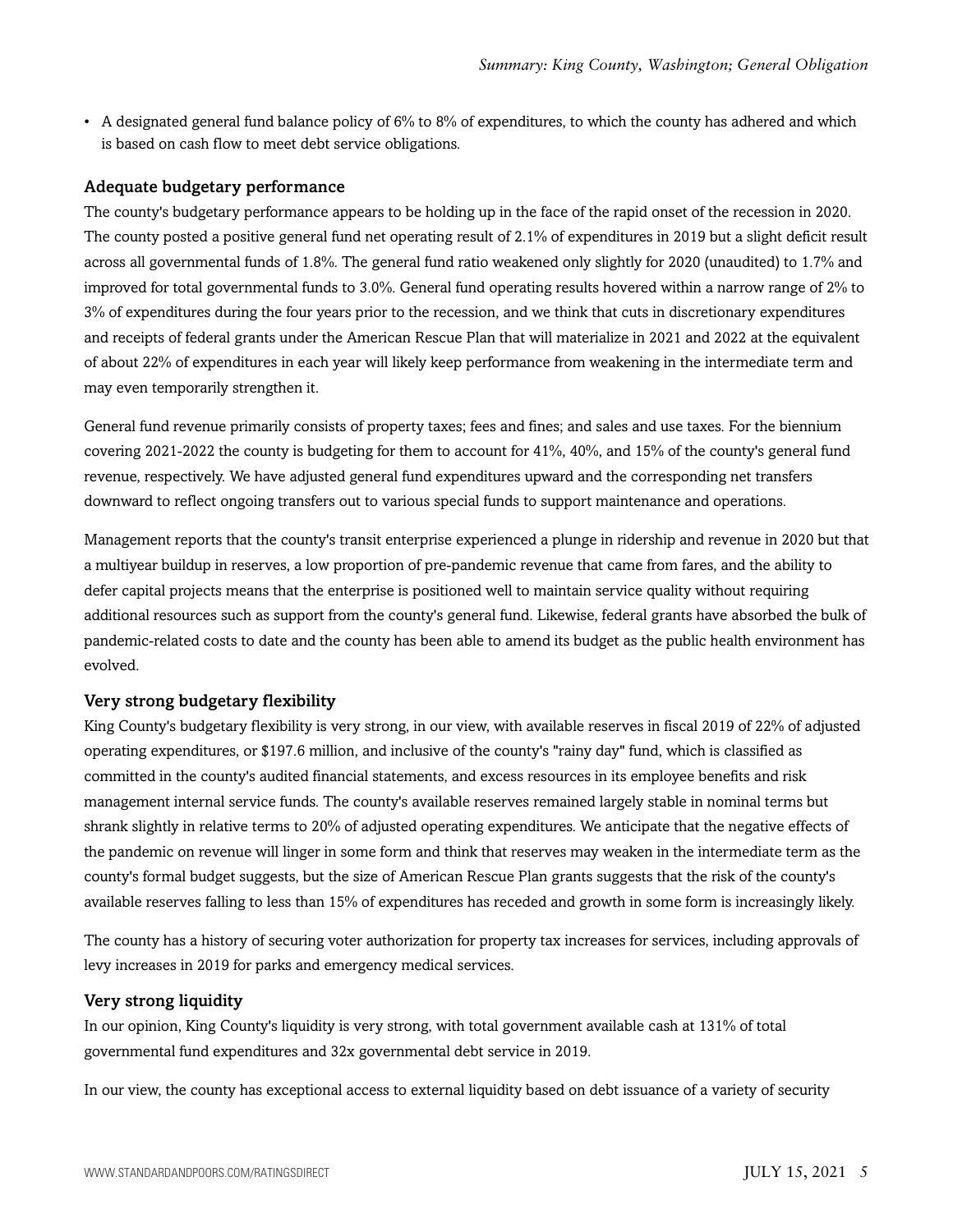• A designated general fund balance policy of  $6\%$  to  $8\%$  of expenditures, to which the county has adhered and which is based on cash flow to meet debt service obligations.

#### Adequate budgetary performance

The county's budgetary performance appears to be holding up in the face of the rapid onset of the recession in 2020. The county posted a positive general fund net operating result of 2.1% of expenditures in 2019 but a slight deficit result across all governmental funds of 1.8%. The general fund ratio weakened only slightly for 2020 (unaudited) to 1.7% and improved for total governmental funds to 3.0%. General fund operating results hovered within a narrow range of 2% to 3% of expenditures during the four years prior to the recession, and we think that cuts in discretionary expenditures and receipts of federal grants under the American Rescue Plan that will materialize in 2021 and 2022 at the equivalent of about 22% of expenditures in each year will likely keep performance from weakening in the intermediate term and may even temporarily strengthen it.

General fund revenue primarily consists of property taxes; fees and fines; and sales and use taxes. For the biennium covering 2021-2022 the county is budgeting for them to account for 41%, 40%, and 15% of the county's general fund revenue, respectively. We have adjusted general fund expenditures upward and the corresponding net transfers downward to reflect ongoing transfers out to various special funds to support maintenance and operations.

Management reports that the county's transit enterprise experienced a plunge in ridership and revenue in 2020 but that a multiyear buildup in reserves, a low proportion of pre-pandemic revenue that came from fares, and the ability to defer capital projects means that the enterprise is positioned well to maintain service quality without requiring additional resources such as support from the county's general fund. Likewise, federal grants have absorbed the bulk of pandemic-related costs to date and the county has been able to amend its budget as the public health environment has evolved.

#### Very strong budgetary flexibility

King County's budgetary flexibility is very strong, in our view, with available reserves in fiscal 2019 of 22% of adjusted operating expenditures, or \$197.6 million, and inclusive of the county's "rainy day" fund, which is classified as committed in the county's audited financial statements, and excess resources in its employee benefits and risk management internal service funds. The county's available reserves remained largely stable in nominal terms but shrank slightly in relative terms to 20% of adjusted operating expenditures. We anticipate that the negative effects of the pandemic on revenue will linger in some form and think that reserves may weaken in the intermediate term as the county's formal budget suggests, but the size of American Rescue Plan grants suggests that the risk of the county's available reserves falling to less than 15% of expenditures has receded and growth in some form is increasingly likely.

The county has a history of securing voter authorization for property tax increases for services, including approvals of levy increases in 2019 for parks and emergency medical services.

#### Very strong liquidity

In our opinion, King County's liquidity is very strong, with total government available cash at 131% of total governmental fund expenditures and 32x governmental debt service in 2019.

In our view, the county has exceptional access to external liquidity based on debt issuance of a variety of security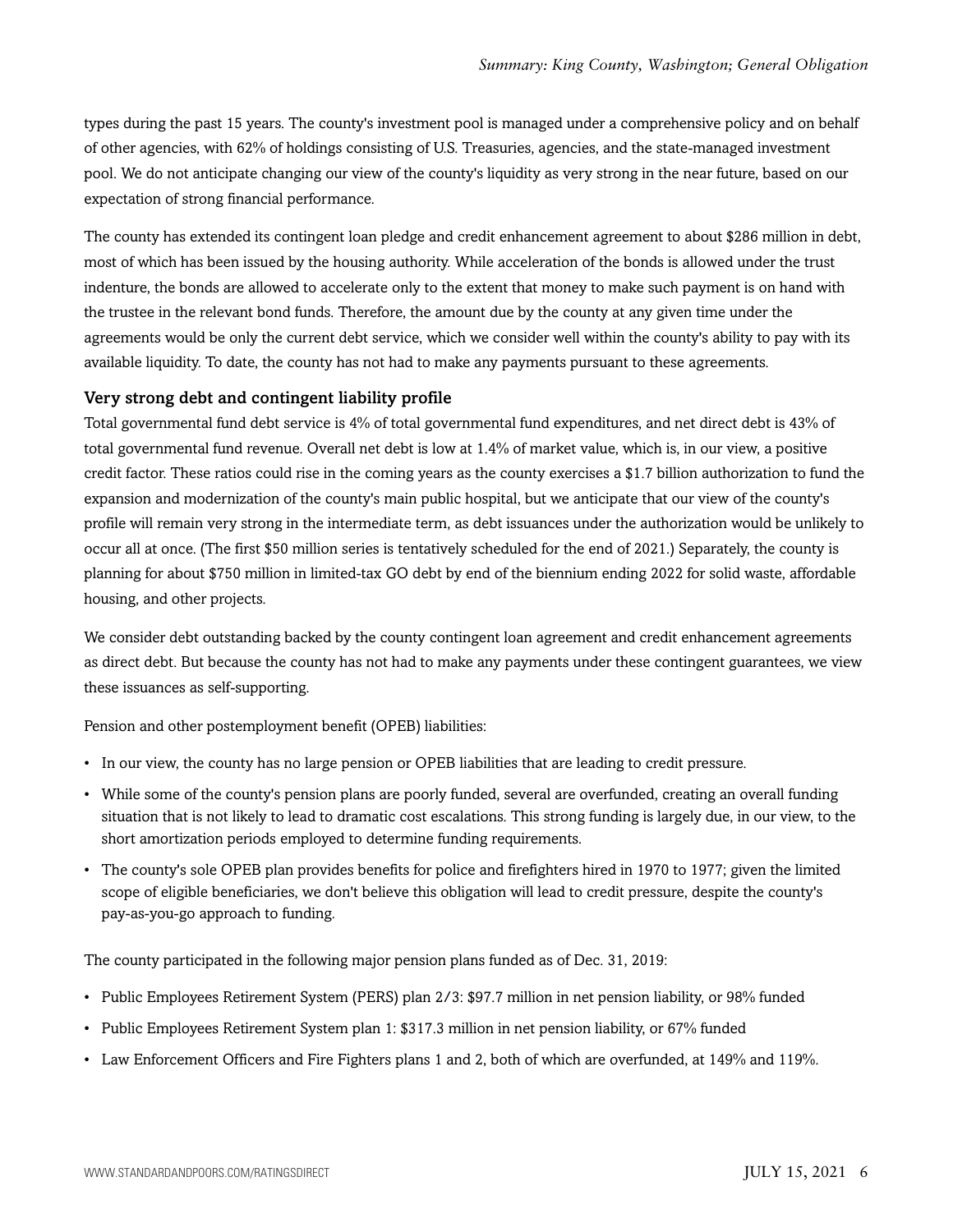types during the past 15 years. The county's investment pool is managed under a comprehensive policy and on behalf of other agencies, with 62% of holdings consisting of U.S. Treasuries, agencies, and the state-managed investment pool. We do not anticipate changing our view of the county's liquidity as very strong in the near future, based on our expectation of strong financial performance.

The county has extended its contingent loan pledge and credit enhancement agreement to about \$286 million in debt, most of which has been issued by the housing authority. While acceleration of the bonds is allowed under the trust indenture, the bonds are allowed to accelerate only to the extent that money to make such payment is on hand with the trustee in the relevant bond funds. Therefore, the amount due by the county at any given time under the agreements would be only the current debt service, which we consider well within the county's ability to pay with its available liquidity. To date, the county has not had to make any payments pursuant to these agreements.

#### Very strong debt and contingent liability profile

Total governmental fund debt service is 4% of total governmental fund expenditures, and net direct debt is 43% of total governmental fund revenue. Overall net debt is low at 1.4% of market value, which is, in our view, a positive credit factor. These ratios could rise in the coming years as the county exercises a \$1.7 billion authorization to fund the expansion and modernization of the county's main public hospital, but we anticipate that our view of the county's profile will remain very strong in the intermediate term, as debt issuances under the authorization would be unlikely to occur all at once. (The first \$50 million series is tentatively scheduled for the end of 2021.) Separately, the county is planning for about \$750 million in limited-tax GO debt by end of the biennium ending 2022 for solid waste, affordable housing, and other projects.

We consider debt outstanding backed by the county contingent loan agreement and credit enhancement agreements as direct debt. But because the county has not had to make any payments under these contingent guarantees, we view these issuances as self-supporting.

Pension and other postemployment benefit (OPEB) liabilities:

- In our view, the county has no large pension or OPEB liabilities that are leading to credit pressure.
- While some of the county's pension plans are poorly funded, several are overfunded, creating an overall funding situation that is not likely to lead to dramatic cost escalations. This strong funding is largely due, in our view, to the short amortization periods employed to determine funding requirements.
- The county's sole OPEB plan provides benefits for police and firefighters hired in 1970 to 1977; given the limited scope of eligible beneficiaries, we don't believe this obligation will lead to credit pressure, despite the county's pay-as-you-go approach to funding.

The county participated in the following major pension plans funded as of Dec. 31, 2019:

- Public Employees Retirement System (PERS) plan 2/3: \$97.7 million in net pension liability, or 98% funded
- Public Employees Retirement System plan 1: \$317.3 million in net pension liability, or 67% funded
- Law Enforcement Officers and Fire Fighters plans 1 and 2, both of which are overfunded, at 149% and 119%.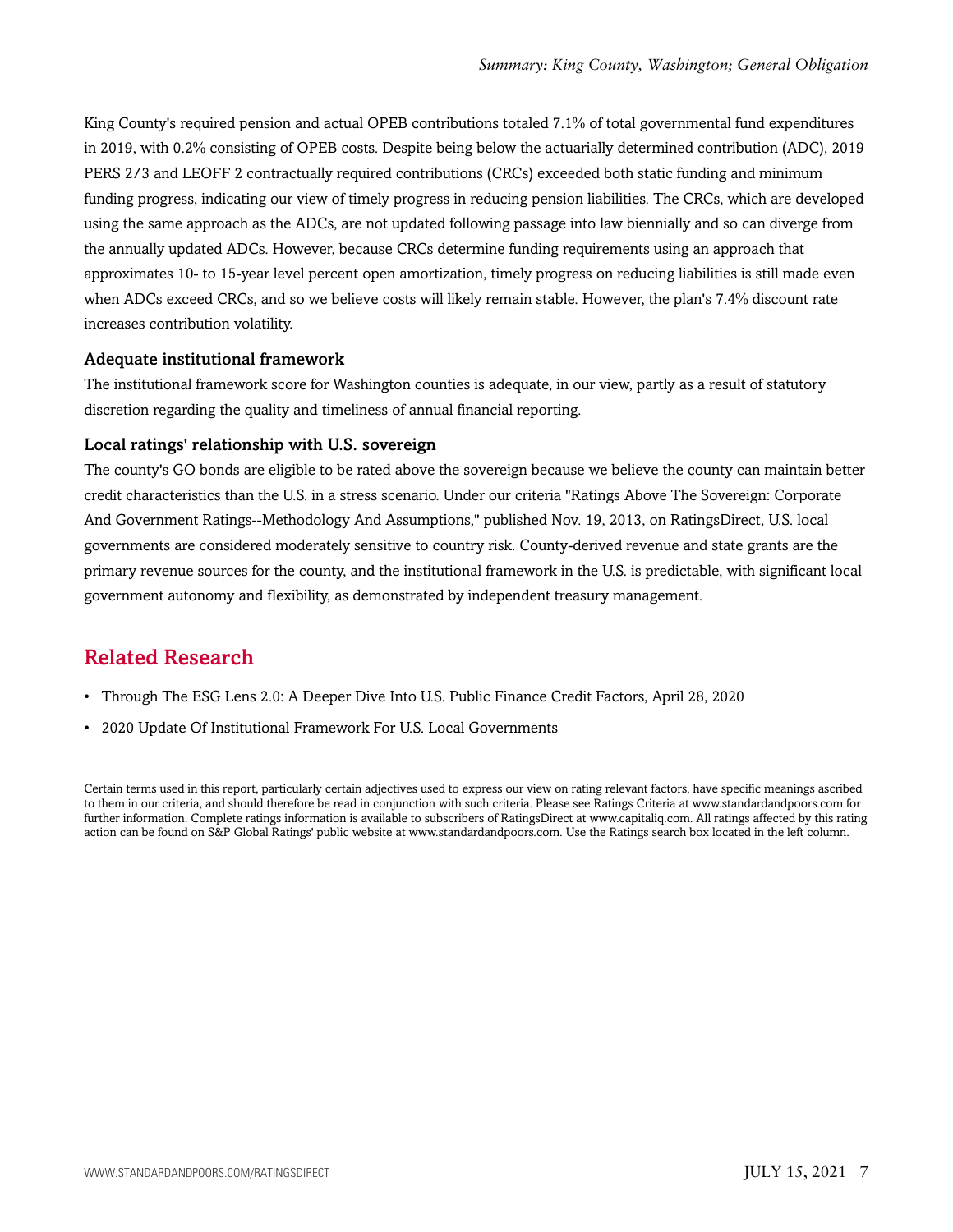King County's required pension and actual OPEB contributions totaled 7.1% of total governmental fund expenditures in 2019, with 0.2% consisting of OPEB costs. Despite being below the actuarially determined contribution (ADC), 2019 PERS 2/3 and LEOFF 2 contractually required contributions (CRCs) exceeded both static funding and minimum funding progress, indicating our view of timely progress in reducing pension liabilities. The CRCs, which are developed using the same approach as the ADCs, are not updated following passage into law biennially and so can diverge from the annually updated ADCs. However, because CRCs determine funding requirements using an approach that approximates 10- to 15-year level percent open amortization, timely progress on reducing liabilities is still made even when ADCs exceed CRCs, and so we believe costs will likely remain stable. However, the plan's 7.4% discount rate increases contribution volatility.

#### Adequate institutional framework

The institutional framework score for Washington counties is adequate, in our view, partly as a result of statutory discretion regarding the quality and timeliness of annual financial reporting.

#### Local ratings' relationship with U.S. sovereign

The county's GO bonds are eligible to be rated above the sovereign because we believe the county can maintain better credit characteristics than the U.S. in a stress scenario. Under our criteria "Ratings Above The Sovereign: Corporate And Government Ratings--Methodology And Assumptions," published Nov. 19, 2013, on RatingsDirect, U.S. local governments are considered moderately sensitive to country risk. County-derived revenue and state grants are the primary revenue sources for the county, and the institutional framework in the U.S. is predictable, with significant local government autonomy and flexibility, as demonstrated by independent treasury management.

#### <span id="page-6-0"></span>Related Research

- Through The ESG Lens 2.0: A Deeper Dive Into U.S. Public Finance Credit Factors, April 28, 2020
- 2020 Update Of Institutional Framework For U.S. Local Governments

Certain terms used in this report, particularly certain adjectives used to express our view on rating relevant factors, have specific meanings ascribed to them in our criteria, and should therefore be read in conjunction with such criteria. Please see Ratings Criteria at www.standardandpoors.com for further information. Complete ratings information is available to subscribers of RatingsDirect at www.capitaliq.com. All ratings affected by this rating action can be found on S&P Global Ratings' public website at www.standardandpoors.com. Use the Ratings search box located in the left column.